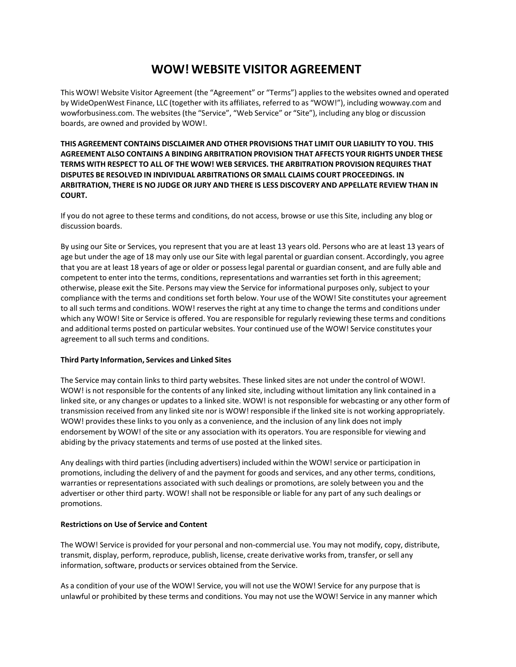## **WOW! WEBSITE VISITOR AGREEMENT**

This WOW! Website Visitor Agreement (the "Agreement" or "Terms") appliesto the websites owned and operated by WideOpenWest Finance, LLC (together with its affiliates, referred to as "WOW!"), including wowway.com and wowforbusiness.com. The websites (the "Service", "Web Service" or "Site"), including any blog or discussion boards, are owned and provided by WOW!.

**THIS AGREEMENT CONTAINS DISCLAIMER AND OTHER PROVISIONS THAT LIMIT OUR LIABILITY TO YOU. THIS AGREEMENT ALSO CONTAINS A BINDING ARBITRATION PROVISION THAT AFFECTS YOUR RIGHTS UNDER THESE TERMS WITH RESPECT TO ALL OF THE WOW! WEB SERVICES. THE ARBITRATION PROVISION REQUIRES THAT DISPUTES BE RESOLVED IN INDIVIDUAL ARBITRATIONS OR SMALL CLAIMS COURT PROCEEDINGS. IN ARBITRATION, THERE IS NO JUDGE OR JURY AND THERE IS LESS DISCOVERY AND APPELLATE REVIEW THAN IN COURT.**

If you do not agree to these terms and conditions, do not access, browse or use this Site, including any blog or discussion boards.

By using our Site or Services, you represent that you are at least 13 years old. Persons who are at least 13 years of age but under the age of 18 may only use our Site with legal parental or guardian consent. Accordingly, you agree that you are at least 18 years of age or older or possesslegal parental or guardian consent, and are fully able and competent to enter into the terms, conditions, representations and warranties set forth in this agreement; otherwise, please exit the Site. Persons may view the Service for informational purposes only, subject to your compliance with the terms and conditionsset forth below. Your use of the WOW! Site constitutes your agreement to all such terms and conditions. WOW! reserves the right at any time to change the terms and conditions under which any WOW! Site or Service is offered. You are responsible for regularly reviewing these terms and conditions and additional terms posted on particular websites. Your continued use of the WOW! Service constitutes your agreement to all such terms and conditions.

## **Third Party Information, Services and Linked Sites**

The Service may contain links to third party websites. These linked sites are not under the control of WOW!. WOW! is not responsible for the contents of any linked site, including without limitation any link contained in a linked site, or any changes or updates to a linked site. WOW! is not responsible for webcasting or any other form of transmission received from any linked site nor is WOW! responsible if the linked site is not working appropriately. WOW! provides these links to you only as a convenience, and the inclusion of any link does not imply endorsement by WOW! of the site or any association with its operators. You are responsible for viewing and abiding by the privacy statements and terms of use posted at the linked sites.

Any dealings with third parties (including advertisers) included within the WOW! service or participation in promotions, including the delivery of and the payment for goods and services, and any other terms, conditions, warranties or representations associated with such dealings or promotions, are solely between you and the advertiser or other third party. WOW! shall not be responsible or liable for any part of any such dealings or promotions.

#### **Restrictions on Use of Service and Content**

The WOW! Service is provided for your personal and non-commercial use. You may not modify, copy, distribute, transmit, display, perform, reproduce, publish, license, create derivative works from, transfer, or sell any information, software, products or services obtained from the Service.

As a condition of your use of the WOW! Service, you will not use the WOW! Service for any purpose that is unlawful or prohibited by these terms and conditions. You may not use the WOW! Service in any manner which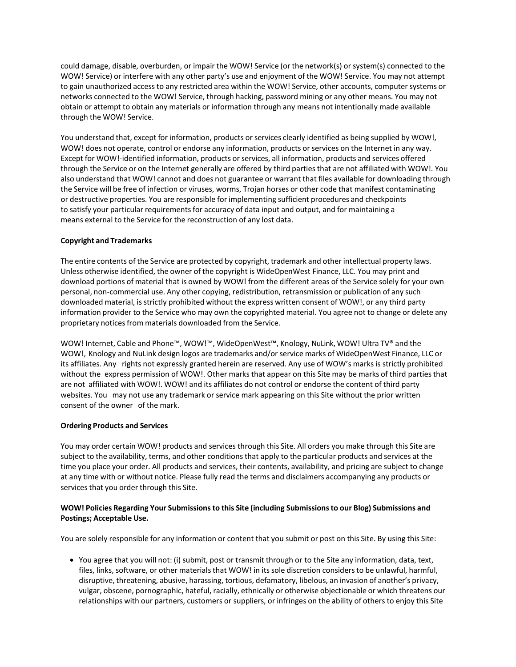could damage, disable, overburden, or impair the WOW! Service (or the network(s) or system(s) connected to the WOW! Service) or interfere with any other party's use and enjoyment of the WOW! Service. You may not attempt to gain unauthorized accessto any restricted area within the WOW! Service, other accounts, computersystems or networks connected to the WOW! Service, through hacking, password mining or any other means. You may not obtain or attempt to obtain any materials or information through any means not intentionally made available through the WOW! Service.

You understand that, except for information, products or services clearly identified as being supplied by WOW!, WOW! does not operate, control or endorse any information, products or services on the Internet in any way. Except for WOW!-identified information, products or services, all information, products and services offered through the Service or on the Internet generally are offered by third partiesthat are not affiliated with WOW!. You also understand that WOW! cannot and does not guarantee or warrant that files available for downloading through the Service will be free of infection or viruses, worms, Trojan horses or other code that manifest contaminating or destructive properties. You are responsible for implementing sufficient procedures and checkpoints to satisfy your particular requirements for accuracy of data input and output, and for maintaining a means external to the Service for the reconstruction of any lost data.

## **Copyright and Trademarks**

The entire contents of the Service are protected by copyright, trademark and other intellectual property laws. Unless otherwise identified, the owner of the copyright is WideOpenWest Finance, LLC. You may print and download portions of material that is owned by WOW! from the different areas of the Service solely for your own personal, non-commercial use. Any other copying, redistribution, retransmission or publication of any such downloaded material, is strictly prohibited without the express written consent of WOW!, or any third party information provider to the Service who may own the copyrighted material. You agree not to change or delete any proprietary notices from materials downloaded from the Service.

WOW! Internet, Cable and Phone™, WOW!™, WideOpenWest™, Knology, NuLink, WOW! Ultra TV® and the WOW!, Knology and NuLink design logos are trademarks and/or service marks of WideOpenWest Finance, LLC or its affiliates. Any rights not expressly granted herein are reserved. Any use of WOW's marksis strictly prohibited without the express permission of WOW!. Other marks that appear on this Site may be marks of third partiesthat are not affiliated with WOW!. WOW! and its affiliates do not control or endorse the content of third party websites. You may not use any trademark or service mark appearing on this Site without the prior written consent of the owner of the mark.

#### **Ordering Products and Services**

You may order certain WOW! products and services through this Site. All orders you make through this Site are subject to the availability, terms, and other conditions that apply to the particular products and services at the time you place your order. All products and services, their contents, availability, and pricing are subject to change at any time with or without notice. Please fully read the terms and disclaimers accompanying any products or services that you order through this Site.

## **WOW! Policies Regarding Your Submissionsto this Site (including Submissionsto our Blog) Submissions and Postings; Acceptable Use.**

You are solely responsible for any information or content that you submit or post on this Site. By using this Site:

• You agree that you will not: (i) submit, post or transmit through or to the Site any information, data, text, files, links, software, or other materials that WOW! in its sole discretion considers to be unlawful, harmful, disruptive, threatening, abusive, harassing, tortious, defamatory, libelous, an invasion of another's privacy, vulgar, obscene, pornographic, hateful, racially, ethnically or otherwise objectionable or which threatens our relationships with our partners, customers or suppliers, or infringes on the ability of others to enjoy this Site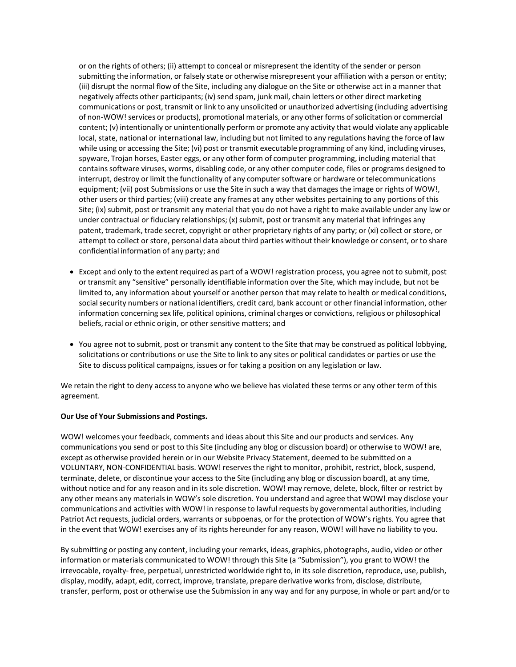or on the rights of others; (ii) attempt to conceal or misrepresent the identity of the sender or person submitting the information, or falsely state or otherwise misrepresent your affiliation with a person or entity; (iii) disrupt the normal flow of the Site, including any dialogue on the Site or otherwise act in a manner that negatively affects other participants; (iv) send spam, junk mail, chain letters or other direct marketing communications or post, transmit or link to any unsolicited or unauthorized advertising (including advertising of non-WOW! services or products), promotional materials, or any other forms of solicitation or commercial content; (v) intentionally or unintentionally perform or promote any activity that would violate any applicable local, state, national or international law, including but not limited to any regulations having the force of law while using or accessing the Site; (vi) post or transmit executable programming of any kind, including viruses, spyware, Trojan horses, Easter eggs, or any other form of computer programming, including material that containssoftware viruses, worms, disabling code, or any other computer code, files or programs designed to interrupt, destroy or limit the functionality of any computersoftware or hardware or telecommunications equipment; (vii) post Submissions or use the Site in such a way that damagesthe image or rights of WOW!, other users or third parties; (viii) create any frames at any other websites pertaining to any portions of this Site; (ix) submit, post or transmit any material that you do not have a right to make available under any law or under contractual or fiduciary relationships; (x) submit, post or transmit any material that infringes any patent, trademark, trade secret, copyright or other proprietary rights of any party; or (xi) collect or store, or attempt to collect or store, personal data about third parties without their knowledge or consent, or to share confidential information of any party; and

- Except and only to the extent required as part of a WOW! registration process, you agree not to submit, post or transmit any "sensitive" personally identifiable information over the Site, which may include, but not be limited to, any information about yourself or another person that may relate to health or medical conditions, social security numbers or national identifiers, credit card, bank account or other financial information, other information concerning sex life, political opinions, criminal charges or convictions, religious or philosophical beliefs, racial or ethnic origin, or other sensitive matters; and
- You agree not to submit, post or transmit any content to the Site that may be construed as political lobbying, solicitations or contributions or use the Site to link to any sites or political candidates or parties or use the Site to discuss political campaigns, issues or for taking a position on any legislation or law.

We retain the right to deny access to anyone who we believe has violated these terms or any other term of this agreement.

#### **Our Use of Your Submissions and Postings.**

WOW! welcomes your feedback, comments and ideas about this Site and our products and services. Any communications you send or post to this Site (including any blog or discussion board) or otherwise to WOW! are, except as otherwise provided herein or in our Website Privacy Statement, deemed to be submitted on a VOLUNTARY, NON-CONFIDENTIAL basis. WOW! reservesthe right to monitor, prohibit, restrict, block, suspend, terminate, delete, or discontinue your access to the Site (including any blog or discussion board), at any time, without notice and for any reason and in itssole discretion. WOW! may remove, delete, block, filter or restrict by any other means any materials in WOW's sole discretion. You understand and agree that WOW! may disclose your communications and activities with WOW! in response to lawful requests by governmental authorities, including Patriot Act requests, judicial orders, warrants or subpoenas, or for the protection of WOW's rights. You agree that in the event that WOW! exercises any of its rights hereunder for any reason, WOW! will have no liability to you.

By submitting or posting any content, including your remarks, ideas, graphics, photographs, audio, video or other information or materials communicated to WOW! through this Site (a "Submission"), you grant to WOW! the irrevocable, royalty- free, perpetual, unrestricted worldwide right to, in itssole discretion, reproduce, use, publish, display, modify, adapt, edit, correct, improve, translate, prepare derivative worksfrom, disclose, distribute, transfer, perform, post or otherwise use the Submission in any way and for any purpose, in whole or part and/or to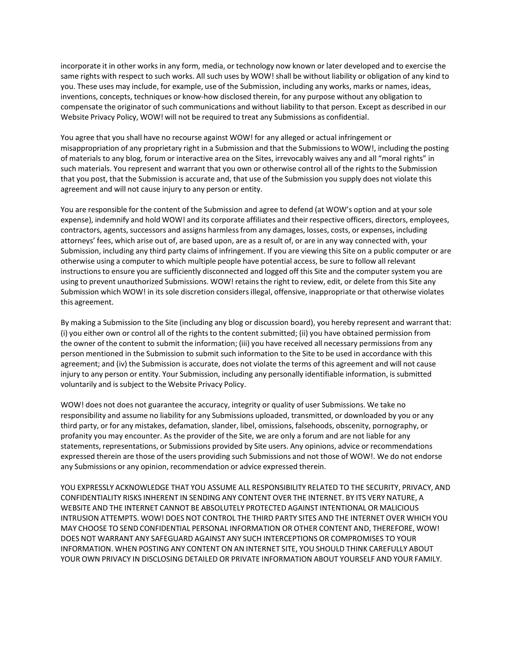incorporate it in other worksin any form, media, or technology now known or later developed and to exercise the same rights with respect to such works. All such uses by WOW! shall be without liability or obligation of any kind to you. These uses may include, for example, use of the Submission, including any works, marks or names, ideas, inventions, concepts, techniques or know-how disclosed therein, for any purpose without any obligation to compensate the originator of such communications and without liability to that person. Except as described in our Website Privacy Policy, WOW! will not be required to treat any Submissions as confidential.

You agree that you shall have no recourse against WOW! for any alleged or actual infringement or misappropriation of any proprietary right in a Submission and that the Submissionsto WOW!, including the posting of materials to any blog, forum or interactive area on the Sites, irrevocably waives any and all "moral rights" in such materials. You represent and warrant that you own or otherwise control all of the rights to the Submission that you post, that the Submission is accurate and, that use of the Submission you supply does not violate this agreement and will not cause injury to any person or entity.

You are responsible for the content of the Submission and agree to defend (at WOW's option and at your sole expense), indemnify and hold WOW! and its corporate affiliates and their respective officers, directors, employees, contractors, agents, successors and assigns harmlessfrom any damages, losses, costs, or expenses, including attorneys' fees, which arise out of, are based upon, are as a result of, or are in any way connected with, your Submission, including any third party claims of infringement. If you are viewing this Site on a public computer or are otherwise using a computer to which multiple people have potential access, be sure to follow all relevant instructions to ensure you are sufficiently disconnected and logged off this Site and the computer system you are using to prevent unauthorized Submissions. WOW! retains the right to review, edit, or delete from this Site any Submission which WOW! in its sole discretion considersillegal, offensive, inappropriate or that otherwise violates this agreement.

By making a Submission to the Site (including any blog or discussion board), you hereby represent and warrant that: (i) you either own or control all of the rights to the content submitted; (ii) you have obtained permission from the owner of the content to submit the information; (iii) you have received all necessary permissions from any person mentioned in the Submission to submit such information to the Site to be used in accordance with this agreement; and (iv) the Submission is accurate, does not violate the terms of this agreement and will not cause injury to any person or entity. Your Submission, including any personally identifiable information, is submitted voluntarily and is subject to the Website Privacy Policy.

WOW! does not does not guarantee the accuracy, integrity or quality of user Submissions. We take no responsibility and assume no liability for any Submissions uploaded, transmitted, or downloaded by you or any third party, or for any mistakes, defamation, slander, libel, omissions, falsehoods, obscenity, pornography, or profanity you may encounter. As the provider of the Site, we are only a forum and are not liable for any statements, representations, or Submissions provided by Site users. Any opinions, advice or recommendations expressed therein are those of the users providing such Submissions and not those of WOW!. We do not endorse any Submissions or any opinion, recommendation or advice expressed therein.

YOU EXPRESSLY ACKNOWLEDGE THAT YOU ASSUME ALL RESPONSIBILITY RELATED TO THE SECURITY, PRIVACY, AND CONFIDENTIALITY RISKS INHERENT IN SENDING ANY CONTENT OVER THE INTERNET. BY ITS VERY NATURE, A WEBSITE AND THE INTERNET CANNOT BE ABSOLUTELY PROTECTED AGAINST INTENTIONAL OR MALICIOUS INTRUSION ATTEMPTS. WOW! DOES NOT CONTROL THE THIRD PARTY SITES AND THE INTERNET OVER WHICH YOU MAY CHOOSE TO SEND CONFIDENTIAL PERSONAL INFORMATION OR OTHER CONTENT AND, THEREFORE, WOW! DOES NOT WARRANT ANY SAFEGUARD AGAINST ANY SUCH INTERCEPTIONS OR COMPROMISES TO YOUR INFORMATION. WHEN POSTING ANY CONTENT ON AN INTERNET SITE, YOU SHOULD THINK CAREFULLY ABOUT YOUR OWN PRIVACY IN DISCLOSING DETAILED OR PRIVATE INFORMATION ABOUT YOURSELF AND YOUR FAMILY.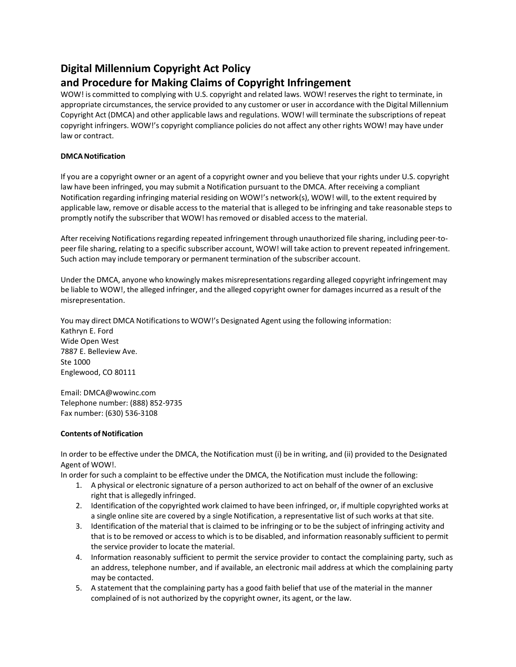# **Digital Millennium Copyright Act Policy**

## **and Procedure for Making Claims of Copyright Infringement**

WOW! is committed to complying with U.S. copyright and related laws. WOW! reserves the right to terminate, in appropriate circumstances, the service provided to any customer or user in accordance with the Digital Millennium Copyright Act (DMCA) and other applicable laws and regulations. WOW! will terminate the subscriptions of repeat copyright infringers. WOW!'s copyright compliance policies do not affect any other rights WOW! may have under law or contract.

## **DMCANotification**

If you are a copyright owner or an agent of a copyright owner and you believe that your rights under U.S. copyright law have been infringed, you may submit a Notification pursuant to the DMCA. After receiving a compliant Notification regarding infringing material residing on WOW!'s network(s), WOW! will, to the extent required by applicable law, remove or disable access to the material that is alleged to be infringing and take reasonable steps to promptly notify the subscriber that WOW! hasremoved or disabled accessto the material.

After receiving Notifications regarding repeated infringement through unauthorized file sharing, including peer-topeer file sharing, relating to a specific subscriber account, WOW! will take action to prevent repeated infringement. Such action may include temporary or permanent termination of the subscriber account.

Under the DMCA, anyone who knowingly makes misrepresentations regarding alleged copyright infringement may be liable to WOW!, the alleged infringer, and the alleged copyright owner for damagesincurred as a result of the misrepresentation.

You may direct DMCA Notifications to WOW!'s Designated Agent using the following information: Kathryn E. Ford Wide Open West 7887 E. Belleview Ave. Ste 1000 Englewood, CO 80111

Email: DMCA@wowinc.com Telephone number: (888) 852-9735 Fax number: (630) 536-3108

## **Contents of Notification**

In order to be effective under the DMCA, the Notification must (i) be in writing, and (ii) provided to the Designated Agent of WOW!.

In order for such a complaint to be effective under the DMCA, the Notification must include the following:

- 1. A physical or electronic signature of a person authorized to act on behalf of the owner of an exclusive right that is allegedly infringed.
- 2. Identification of the copyrighted work claimed to have been infringed, or, if multiple copyrighted works at a single online site are covered by a single Notification, a representative list of such works at that site.
- 3. Identification of the material that is claimed to be infringing or to be the subject of infringing activity and that is to be removed or accessto which isto be disabled, and information reasonably sufficient to permit the service provider to locate the material.
- 4. Information reasonably sufficient to permit the service provider to contact the complaining party, such as an address, telephone number, and if available, an electronic mail address at which the complaining party may be contacted.
- 5. A statement that the complaining party has a good faith belief that use of the material in the manner complained of is not authorized by the copyright owner, its agent, or the law.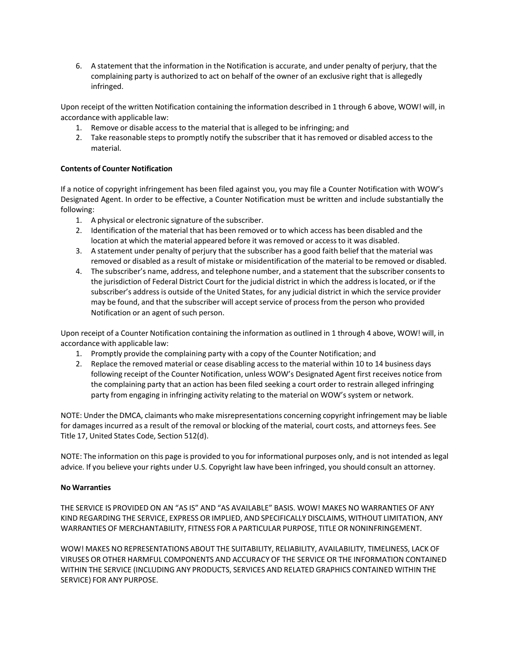6. A statement that the information in the Notification is accurate, and under penalty of perjury, that the complaining party is authorized to act on behalf of the owner of an exclusive right that is allegedly infringed.

Upon receipt of the written Notification containing the information described in 1 through 6 above, WOW! will, in accordance with applicable law:

- 1. Remove or disable access to the material that is alleged to be infringing; and
- 2. Take reasonable steps to promptly notify the subscriber that it has removed or disabled access to the material.

## **Contents of Counter Notification**

If a notice of copyright infringement has been filed against you, you may file a Counter Notification with WOW's Designated Agent. In order to be effective, a Counter Notification must be written and include substantially the following:

- 1. A physical or electronic signature of the subscriber.
- 2. Identification of the material that has been removed or to which access has been disabled and the location at which the material appeared before it was removed or access to it was disabled.
- 3. A statement under penalty of perjury that the subscriber has a good faith belief that the material was removed or disabled as a result of mistake or misidentification of the material to be removed or disabled.
- 4. The subscriber's name, address, and telephone number, and a statement that the subscriber consentsto the jurisdiction of Federal District Court for the judicial district in which the addressislocated, or if the subscriber's addressis outside of the United States, for any judicial district in which the service provider may be found, and that the subscriber will accept service of processfrom the person who provided Notification or an agent of such person.

Upon receipt of a Counter Notification containing the information as outlined in 1 through 4 above, WOW! will, in accordance with applicable law:

- 1. Promptly provide the complaining party with a copy of the Counter Notification; and
- 2. Replace the removed material or cease disabling accessto the material within 10 to 14 business days following receipt of the Counter Notification, unless WOW's Designated Agent first receives notice from the complaining party that an action has been filed seeking a court order to restrain alleged infringing party from engaging in infringing activity relating to the material on WOW's system or network.

NOTE: Under the DMCA, claimants who make misrepresentations concerning copyright infringement may be liable for damages incurred as a result of the removal or blocking of the material, court costs, and attorneys fees. See Title 17, United States Code, Section 512(d).

NOTE: The information on this page is provided to you for informational purposes only, and is not intended aslegal advice. If you believe your rights under U.S. Copyright law have been infringed, you should consult an attorney.

#### **No Warranties**

THE SERVICE IS PROVIDED ON AN "AS IS" AND "AS AVAILABLE" BASIS. WOW! MAKES NO WARRANTIES OF ANY KIND REGARDING THE SERVICE, EXPRESS OR IMPLIED, AND SPECIFICALLY DISCLAIMS, WITHOUT LIMITATION, ANY WARRANTIES OF MERCHANTABILITY, FITNESS FOR A PARTICULAR PURPOSE, TITLE OR NONINFRINGEMENT.

WOW! MAKES NO REPRESENTATIONS ABOUT THE SUITABILITY, RELIABILITY, AVAILABILITY, TIMELINESS, LACK OF VIRUSES OR OTHER HARMFUL COMPONENTS AND ACCURACY OF THE SERVICE OR THE INFORMATION CONTAINED WITHIN THE SERVICE (INCLUDING ANY PRODUCTS, SERVICES AND RELATED GRAPHICS CONTAINED WITHIN THE SERVICE) FOR ANY PURPOSE.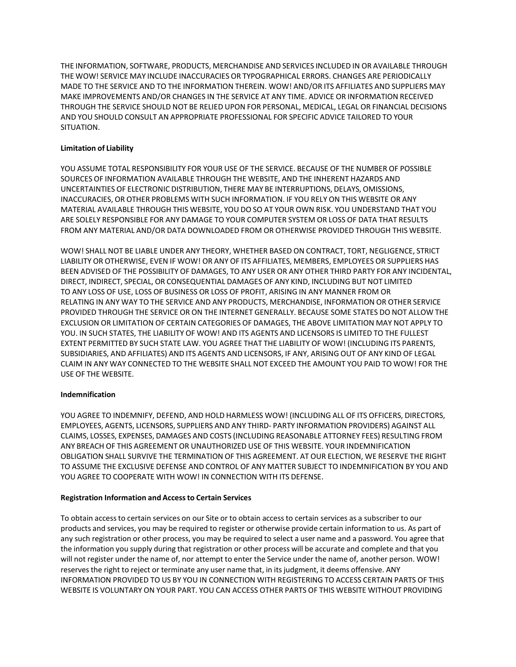THE INFORMATION, SOFTWARE, PRODUCTS, MERCHANDISE AND SERVICES INCLUDED IN OR AVAILABLE THROUGH THE WOW! SERVICE MAY INCLUDE INACCURACIES OR TYPOGRAPHICAL ERRORS. CHANGES ARE PERIODICALLY MADE TO THE SERVICE AND TO THE INFORMATION THEREIN. WOW! AND/OR ITS AFFILIATES AND SUPPLIERS MAY MAKE IMPROVEMENTS AND/OR CHANGES IN THE SERVICE AT ANY TIME. ADVICE OR INFORMATION RECEIVED THROUGH THE SERVICE SHOULD NOT BE RELIED UPON FOR PERSONAL, MEDICAL, LEGAL OR FINANCIAL DECISIONS AND YOU SHOULD CONSULT AN APPROPRIATE PROFESSIONAL FOR SPECIFIC ADVICE TAILORED TO YOUR SITUATION.

## **Limitation of Liability**

YOU ASSUME TOTAL RESPONSIBILITY FOR YOUR USE OF THE SERVICE. BECAUSE OF THE NUMBER OF POSSIBLE SOURCES OF INFORMATION AVAILABLE THROUGH THE WEBSITE, AND THE INHERENT HAZARDS AND UNCERTAINTIES OF ELECTRONIC DISTRIBUTION, THERE MAY BE INTERRUPTIONS, DELAYS, OMISSIONS, INACCURACIES, OR OTHER PROBLEMS WITH SUCH INFORMATION. IF YOU RELY ON THIS WEBSITE OR ANY MATERIAL AVAILABLE THROUGH THIS WEBSITE, YOU DO SO AT YOUR OWN RISK. YOU UNDERSTAND THAT YOU ARE SOLELY RESPONSIBLE FOR ANY DAMAGE TO YOUR COMPUTER SYSTEM OR LOSS OF DATA THAT RESULTS FROM ANY MATERIAL AND/OR DATA DOWNLOADED FROM OR OTHERWISE PROVIDED THROUGH THIS WEBSITE.

WOW! SHALL NOT BE LIABLE UNDER ANY THEORY, WHETHER BASED ON CONTRACT, TORT, NEGLIGENCE, STRICT LIABILITY OR OTHERWISE, EVEN IF WOW! OR ANY OF ITS AFFILIATES, MEMBERS, EMPLOYEES OR SUPPLIERS HAS BEEN ADVISED OF THE POSSIBILITY OF DAMAGES, TO ANY USER OR ANY OTHER THIRD PARTY FOR ANY INCIDENTAL, DIRECT, INDIRECT, SPECIAL, OR CONSEQUENTIAL DAMAGES OF ANY KIND, INCLUDING BUT NOT LIMITED TO ANY LOSS OF USE, LOSS OF BUSINESS OR LOSS OF PROFIT, ARISING IN ANY MANNER FROM OR RELATING IN ANY WAY TO THE SERVICE AND ANY PRODUCTS, MERCHANDISE, INFORMATION OR OTHER SERVICE PROVIDED THROUGH THE SERVICE OR ON THE INTERNET GENERALLY. BECAUSE SOME STATES DO NOT ALLOW THE EXCLUSION OR LIMITATION OF CERTAIN CATEGORIES OF DAMAGES, THE ABOVE LIMITATION MAY NOT APPLY TO YOU. IN SUCH STATES, THE LIABILITY OF WOW! AND ITS AGENTS AND LICENSORS IS LIMITED TO THE FULLEST EXTENT PERMITTED BY SUCH STATE LAW. YOU AGREE THAT THE LIABILITY OF WOW! (INCLUDING ITS PARENTS, SUBSIDIARIES, AND AFFILIATES) AND ITS AGENTS AND LICENSORS, IF ANY, ARISING OUT OF ANY KIND OF LEGAL CLAIM IN ANY WAY CONNECTED TO THE WEBSITE SHALL NOT EXCEED THE AMOUNT YOU PAID TO WOW! FOR THE USE OF THE WEBSITE.

## **Indemnification**

YOU AGREE TO INDEMNIFY, DEFEND, AND HOLD HARMLESS WOW! (INCLUDING ALL OF ITS OFFICERS, DIRECTORS, EMPLOYEES, AGENTS, LICENSORS, SUPPLIERS AND ANY THIRD- PARTY INFORMATION PROVIDERS) AGAINST ALL CLAIMS, LOSSES, EXPENSES, DAMAGES AND COSTS (INCLUDING REASONABLE ATTORNEY FEES) RESULTING FROM ANY BREACH OF THIS AGREEMENT OR UNAUTHORIZED USE OF THIS WEBSITE. YOUR INDEMNIFICATION OBLIGATION SHALL SURVIVE THE TERMINATION OF THIS AGREEMENT. AT OUR ELECTION, WE RESERVE THE RIGHT TO ASSUME THE EXCLUSIVE DEFENSE AND CONTROL OF ANY MATTER SUBJECT TO INDEMNIFICATION BY YOU AND YOU AGREE TO COOPERATE WITH WOW! IN CONNECTION WITH ITS DEFENSE.

## **Registration Information and Accessto Certain Services**

To obtain accessto certain services on our Site or to obtain accessto certain services as a subscriber to our products and services, you may be required to register or otherwise provide certain information to us. As part of any such registration or other process, you may be required to select a user name and a password. You agree that the information you supply during that registration or other process will be accurate and complete and that you will not register under the name of, nor attempt to enter the Service under the name of, another person. WOW! reserves the right to reject or terminate any user name that, in its judgment, it deems offensive. ANY INFORMATION PROVIDED TO US BY YOU IN CONNECTION WITH REGISTERING TO ACCESS CERTAIN PARTS OF THIS WEBSITE IS VOLUNTARY ON YOUR PART. YOU CAN ACCESS OTHER PARTS OF THIS WEBSITE WITHOUT PROVIDING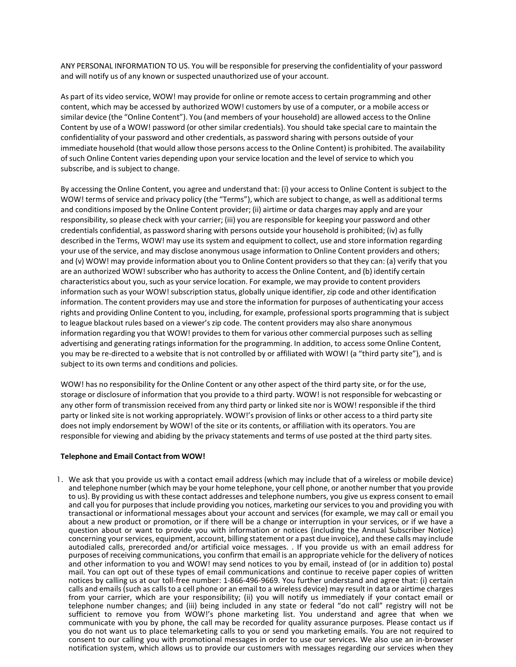ANY PERSONAL INFORMATION TO US. You will be responsible for preserving the confidentiality of your password and will notify us of any known or suspected unauthorized use of your account.

As part of its video service, WOW! may provide for online or remote accessto certain programming and other content, which may be accessed by authorized WOW! customers by use of a computer, or a mobile access or similar device (the "Online Content"). You (and members of your household) are allowed accessto the Online Content by use of a WOW! password (or other similar credentials). You should take special care to maintain the confidentiality of your password and other credentials, as password sharing with persons outside of your immediate household (that would allow those persons accessto the Online Content) is prohibited. The availability ofsuch Online Content varies depending upon your service location and the level of service to which you subscribe, and is subject to change.

By accessing the Online Content, you agree and understand that: (i) your accessto Online Content issubject to the WOW! terms of service and privacy policy (the "Terms"), which are subject to change, as well as additional terms and conditionsimposed by the Online Content provider; (ii) airtime or data charges may apply and are your responsibility, so please check with your carrier; (iii) you are responsible for keeping your password and other credentials confidential, as password sharing with persons outside your household is prohibited; (iv) asfully described in the Terms, WOW! may use its system and equipment to collect, use and store information regarding your use of the service, and may disclose anonymous usage information to Online Content providers and others; and (v) WOW! may provide information about you to Online Content providersso that they can: (a) verify that you are an authorized WOW! subscriber who has authority to accessthe Online Content, and (b) identify certain characteristics about you, such as your service location. For example, we may provide to content providers information such as your WOW! subscription status, globally unique identifier, zip code and other identification information. The content providers may use and store the information for purposes of authenticating your access rights and providing Online Content to you, including, for example, professional sports programming that is subject to league blackout rules based on a viewer's zip code. The content providers may also share anonymous information regarding you that WOW! provides to them for various other commercial purposes such as selling advertising and generating ratings information for the programming. In addition, to access some Online Content, you may be re-directed to a website that is not controlled by or affiliated with WOW! (a "third party site"), and is subject to its own terms and conditions and policies.

WOW! has no responsibility for the Online Content or any other aspect of the third party site, or for the use, storage or disclosure of information that you provide to a third party. WOW! is not responsible for webcasting or any other form of transmission received from any third party or linked site nor is WOW! responsible if the third party or linked site is not working appropriately. WOW!'s provision of links or other access to a third party site does not imply endorsement by WOW! of the site or its contents, or affiliation with its operators. You are responsible for viewing and abiding by the privacy statements and terms of use posted at the third party sites.

## **Telephone and Email Contact from WOW!**

1. We ask that you provide us with a contact email address (which may include that of a wireless or mobile device) and telephone number (which may be your home telephone, your cell phone, or another number that you provide to us). By providing us with these contact addresses and telephone numbers, you give us express consent to email and call you for purposes that include providing you notices, marketing our services to you and providing you with transactional or informational messages about your account and services (for example, we may call or email you about a new product or promotion, or if there will be a change or interruption in your services, or if we have a question about or want to provide you with information or notices (including the Annual Subscriber Notice) concerning your services, equipment, account, billing statement or a past due invoice), and these calls may include autodialed calls, prerecorded and/or artificial voice messages. . If you provide us with an email address for purposes of receiving communications, you confirm that email is an appropriate vehicle for the delivery of notices and other information to you and WOW! may send notices to you by email, instead of (or in addition to) postal mail. You can opt out of these types of email communications and continue to receive paper copies of written notices by calling us at our toll-free number: 1-866-496-9669. You further understand and agree that: (i) certain calls and emails (such as calls to a cell phone or an email to a wireless device) may result in data or airtime charges from your carrier, which are your responsibility; (ii) you will notify us immediately if your contact email or telephone number changes; and (iii) being included in any state or federal "do not call" registry will not be sufficient to remove you from WOW!'s phone marketing list. You understand and agree that when we communicate with you by phone, the call may be recorded for quality assurance purposes. Please contact us if you do not want us to place telemarketing calls to you or send you marketing emails. You are not required to consent to our calling you with promotional messages in order to use our services. We also use an in-browser notification system, which allows us to provide our customers with messages regarding our services when they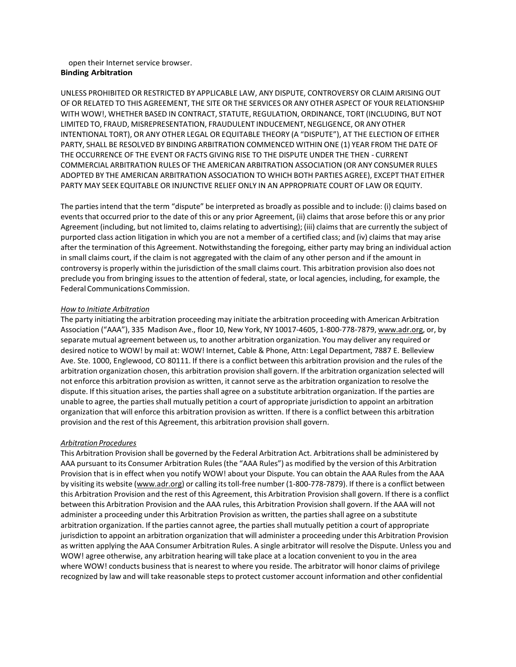#### open their Internet service browser. **Binding Arbitration**

UNLESS PROHIBITED OR RESTRICTED BY APPLICABLE LAW, ANY DISPUTE, CONTROVERSY OR CLAIM ARISING OUT OF OR RELATED TO THIS AGREEMENT, THE SITE OR THE SERVICES OR ANY OTHER ASPECT OF YOUR RELATIONSHIP WITH WOW!, WHETHER BASED IN CONTRACT, STATUTE, REGULATION, ORDINANCE, TORT (INCLUDING, BUT NOT LIMITED TO, FRAUD, MISREPRESENTATION, FRAUDULENT INDUCEMENT, NEGLIGENCE, OR ANYOTHER INTENTIONAL TORT), OR ANY OTHER LEGAL OR EQUITABLE THEORY (A "DISPUTE"), AT THE ELECTION OF EITHER PARTY, SHALL BE RESOLVED BY BINDING ARBITRATION COMMENCED WITHIN ONE (1) YEAR FROM THE DATE OF THE OCCURRENCE OF THE EVENT OR FACTS GIVING RISE TO THE DISPUTE UNDER THE THEN - CURRENT COMMERCIAL ARBITRATION RULES OF THE AMERICAN ARBITRATION ASSOCIATION (OR ANY CONSUMER RULES ADOPTED BY THE AMERICAN ARBITRATION ASSOCIATION TO WHICH BOTH PARTIES AGREE), EXCEPT THAT EITHER PARTY MAY SEEK EQUITABLE OR INJUNCTIVE RELIEF ONLY IN AN APPROPRIATE COURT OF LAW OR EQUITY.

The partiesintend that the term "dispute" be interpreted as broadly as possible and to include: (i) claims based on events that occurred prior to the date of this or any prior Agreement, (ii) claims that arose before this or any prior Agreement (including, but not limited to, claims relating to advertising); (iii) claims that are currently the subject of purported class action litigation in which you are not a member of a certified class; and (iv) claims that may arise after the termination of this Agreement. Notwithstanding the foregoing, either party may bring an individual action in small claims court, if the claim is not aggregated with the claim of any other person and if the amount in controversy is properly within the jurisdiction of the small claims court. This arbitration provision also does not preclude you from bringing issuesto the attention of federal, state, or local agencies, including, for example, the Federal Communications Commission.

## *How to Initiate Arbitration*

The party initiating the arbitration proceeding may initiate the arbitration proceeding with American Arbitration Association ("AAA"), 335 Madison Ave., floor 10, New York, NY 10017-4605, 1-800-778-7879, [www.adr.org,](http://www.adr.org/) or, by separate mutual agreement between us, to another arbitration organization. You may deliver any required or desired notice to WOW! by mail at: WOW! Internet, Cable & Phone, Attn: Legal Department, 7887 E. Belleview Ave. Ste. 1000, Englewood, CO 80111. If there is a conflict between this arbitration provision and the rules of the arbitration organization chosen, this arbitration provision shall govern. If the arbitration organization selected will not enforce this arbitration provision as written, it cannot serve as the arbitration organization to resolve the dispute. If thissituation arises, the parties shall agree on a substitute arbitration organization. If the parties are unable to agree, the partiesshall mutually petition a court of appropriate jurisdiction to appoint an arbitration organization that will enforce this arbitration provision as written. If there is a conflict between this arbitration provision and the rest of this Agreement, this arbitration provision shall govern.

## *Arbitration Procedures*

This Arbitration Provision shall be governed by the Federal Arbitration Act. Arbitrationsshall be administered by AAA pursuant to its Consumer Arbitration Rules(the "AAA Rules") as modified by the version of this Arbitration Provision that is in effect when you notify WOW! about your Dispute. You can obtain the AAA Rules from the AAA by visiting its website [\(www.adr.org\)](http://www.adr.org/) or calling itstoll-free number (1-800-778-7879). If there is a conflict between this Arbitration Provision and the rest of this Agreement, this Arbitration Provision shall govern. If there is a conflict between this Arbitration Provision and the AAA rules, this Arbitration Provision shall govern. If the AAA will not administer a proceeding under this Arbitration Provision as written, the partiesshall agree on a substitute arbitration organization. If the parties cannot agree, the parties shall mutually petition a court of appropriate jurisdiction to appoint an arbitration organization that will administer a proceeding under this Arbitration Provision as written applying the AAA Consumer Arbitration Rules. A single arbitrator will resolve the Dispute. Unless you and WOW! agree otherwise, any arbitration hearing will take place at a location convenient to you in the area where WOW! conducts businessthat is nearest to where you reside. The arbitrator will honor claims of privilege recognized by law and will take reasonable stepsto protect customer account information and other confidential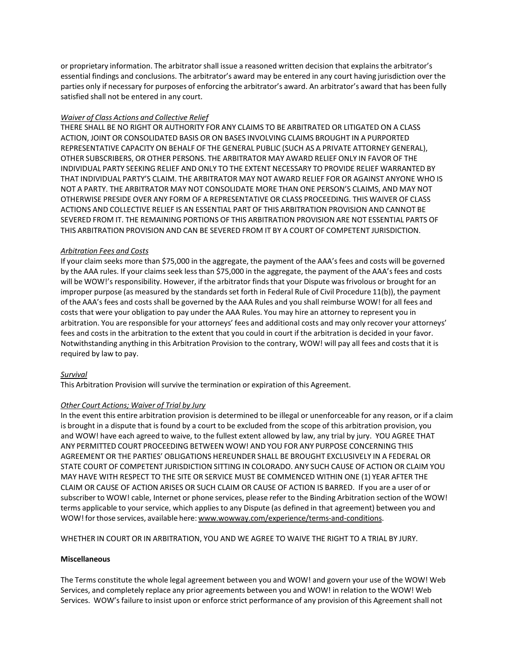or proprietary information. The arbitrator shall issue a reasoned written decision that explains the arbitrator's essential findings and conclusions. The arbitrator's award may be entered in any court having jurisdiction over the parties only if necessary for purposes of enforcing the arbitrator's award. An arbitrator's award that has been fully satisfied shall not be entered in any court.

#### *Waiver of Class Actions and Collective Relief*

THERE SHALL BE NO RIGHT OR AUTHORITY FOR ANY CLAIMS TO BE ARBITRATED OR LITIGATED ON A CLASS ACTION, JOINT OR CONSOLIDATED BASIS OR ON BASES INVOLVING CLAIMS BROUGHT IN A PURPORTED REPRESENTATIVE CAPACITY ON BEHALF OF THE GENERAL PUBLIC (SUCH AS A PRIVATE ATTORNEY GENERAL), OTHER SUBSCRIBERS, OR OTHER PERSONS. THE ARBITRATOR MAY AWARD RELIEF ONLY IN FAVOR OF THE INDIVIDUAL PARTY SEEKING RELIEF AND ONLY TO THE EXTENT NECESSARY TO PROVIDE RELIEF WARRANTED BY THAT INDIVIDUAL PARTY'S CLAIM. THE ARBITRATOR MAY NOT AWARD RELIEF FOR OR AGAINST ANYONE WHO IS NOT A PARTY. THE ARBITRATOR MAY NOT CONSOLIDATE MORE THAN ONE PERSON'S CLAIMS, AND MAY NOT OTHERWISE PRESIDE OVER ANY FORM OF A REPRESENTATIVE OR CLASS PROCEEDING. THIS WAIVER OF CLASS ACTIONS AND COLLECTIVE RELIEF IS AN ESSENTIAL PART OF THIS ARBITRATION PROVISION AND CANNOT BE SEVERED FROM IT. THE REMAINING PORTIONS OF THIS ARBITRATION PROVISION ARE NOT ESSENTIAL PARTS OF THIS ARBITRATION PROVISION AND CAN BE SEVERED FROM IT BY A COURT OF COMPETENT JURISDICTION.

#### *Arbitration Fees and Costs*

If your claim seeks more than \$75,000 in the aggregate, the payment of the AAA's fees and costs will be governed by the AAA rules. If your claims seek less than \$75,000 in the aggregate, the payment of the AAA's fees and costs will be WOW!'s responsibility. However, if the arbitrator finds that your Dispute was frivolous or brought for an improper purpose (as measured by the standards set forth in Federal Rule of Civil Procedure 11(b)), the payment of the AAA's fees and costs shall be governed by the AAA Rules and you shall reimburse WOW! for all fees and costs that were your obligation to pay under the AAA Rules. You may hire an attorney to represent you in arbitration. You are responsible for your attorneys' fees and additional costs and may only recover your attorneys' fees and costs in the arbitration to the extent that you could in court if the arbitration is decided in your favor. Notwithstanding anything in this Arbitration Provision to the contrary, WOW! will pay all fees and coststhat it is required by law to pay.

## *Survival*

This Arbitration Provision will survive the termination or expiration of this Agreement.

## *Other Court Actions; Waiver of Trial by Jury*

In the event this entire arbitration provision is determined to be illegal or unenforceable for any reason, or if a claim is brought in a dispute that is found by a court to be excluded from the scope of this arbitration provision, you and WOW! have each agreed to waive, to the fullest extent allowed by law, any trial by jury. YOU AGREE THAT ANY PERMITTED COURT PROCEEDING BETWEEN WOW! AND YOU FOR ANY PURPOSE CONCERNING THIS AGREEMENT OR THE PARTIES' OBLIGATIONS HEREUNDER SHALL BE BROUGHT EXCLUSIVELY IN A FEDERAL OR STATE COURT OF COMPETENT JURISDICTION SITTING IN COLORADO. ANY SUCH CAUSE OF ACTION OR CLAIM YOU MAY HAVE WITH RESPECT TO THE SITE OR SERVICE MUST BE COMMENCED WITHIN ONE (1) YEAR AFTER THE CLAIM OR CAUSE OF ACTION ARISES OR SUCH CLAIM OR CAUSE OF ACTION IS BARRED. If you are a user of or subscriber to WOW! cable, Internet or phone services, please refer to the Binding Arbitration section of the WOW! terms applicable to your service, which appliesto any Dispute (as defined in that agreement) between you and WOW! for those services, available here: [www.wowway.com/experience/terms-and-conditions.](http://www.wowway.com/experience/terms-and-conditions)

WHETHER IN COURT OR IN ARBITRATION, YOU AND WE AGREE TO WAIVE THE RIGHT TO A TRIAL BY JURY.

#### **Miscellaneous**

The Terms constitute the whole legal agreement between you and WOW! and govern your use of the WOW! Web Services, and completely replace any prior agreements between you and WOW! in relation to the WOW! Web Services. WOW's failure to insist upon or enforce strict performance of any provision of this Agreement shall not